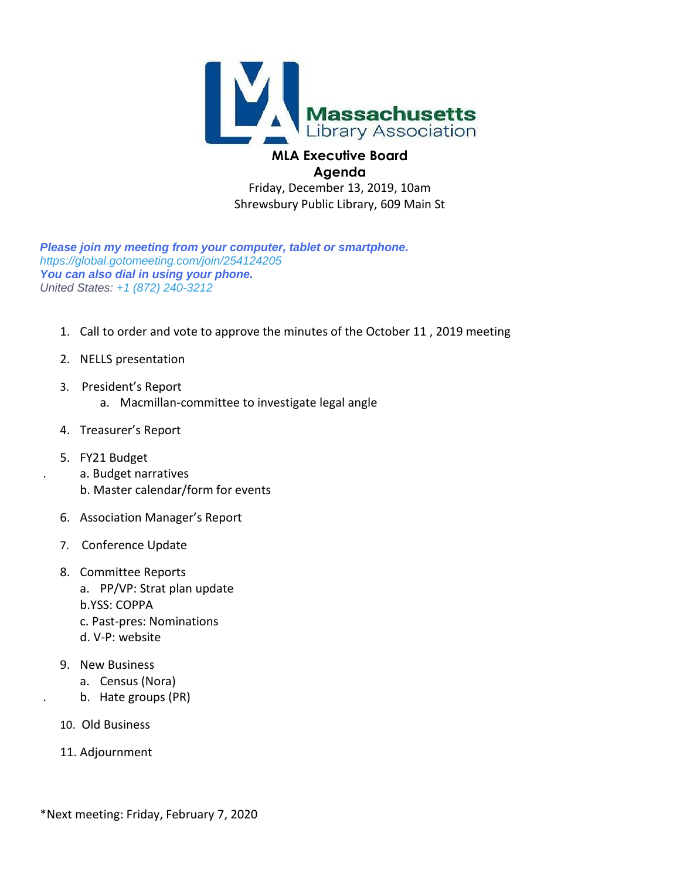

# **Agenda**

Friday, December 13, 2019, 10am Shrewsbury Public Library, 609 Main St

*Please join my meeting from your computer, tablet or smartphone. <https://global.gotomeeting.com/join/254124205> You can also dial in using your phone. United States: +1 (872) 240-3212*

- 1. Call to order and vote to approve the minutes of the October 11 , 2019 meeting
- 2. NELLS presentation
- 3. President's Report
	- a. Macmillan-committee to investigate legal angle
- 4. Treasurer's Report
- 5. FY21 Budget
	- . a. Budget narratives
	- b. Master calendar/form for events
- 6. Association Manager's Report
- 7. Conference Update
- 8. Committee Reports a. PP/VP: Strat plan update b.YSS: COPPA c. Past-pres: Nominations
	- d. V-P: website
- 9. New Business
	- a. Census (Nora)
- . b. Hate groups (PR)
	- 10. Old Business
	- 11. Adjournment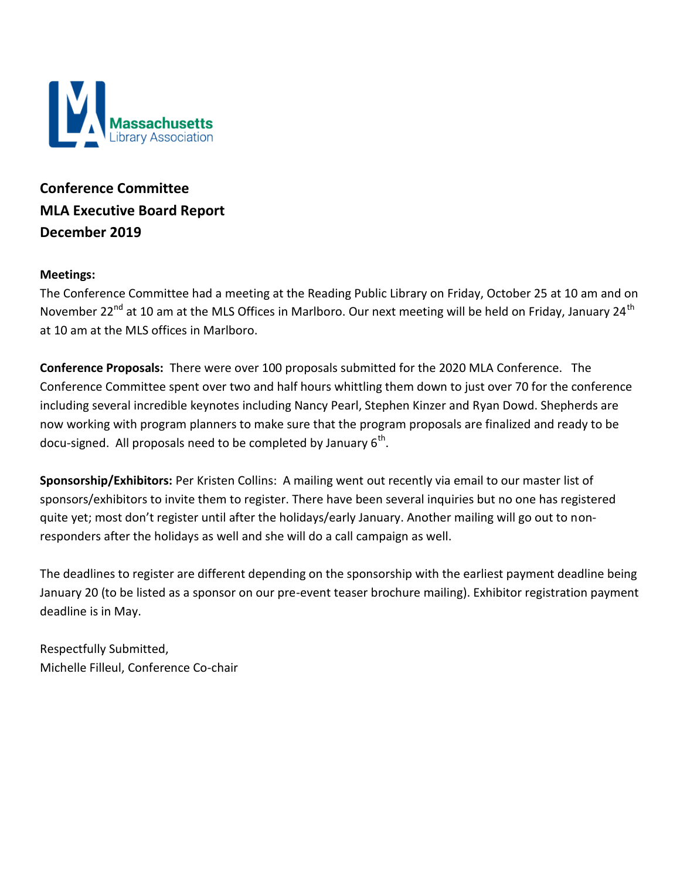

**Conference Committee MLA Executive Board Report December 2019**

#### **Meetings:**

The Conference Committee had a meeting at the Reading Public Library on Friday, October 25 at 10 am and on November 22<sup>nd</sup> at 10 am at the MLS Offices in Marlboro. Our next meeting will be held on Friday, January 24<sup>th</sup> at 10 am at the MLS offices in Marlboro.

**Conference Proposals:** There were over 100 proposals submitted for the 2020 MLA Conference. The Conference Committee spent over two and half hours whittling them down to just over 70 for the conference including several incredible keynotes including Nancy Pearl, Stephen Kinzer and Ryan Dowd. Shepherds are now working with program planners to make sure that the program proposals are finalized and ready to be docu-signed. All proposals need to be completed by January  $6^{\text{th}}$ .

**Sponsorship/Exhibitors:** Per Kristen Collins: A mailing went out recently via email to our master list of sponsors/exhibitors to invite them to register. There have been several inquiries but no one has registered quite yet; most don't register until after the holidays/early January. Another mailing will go out to nonresponders after the holidays as well and she will do a call campaign as well.

The deadlines to register are different depending on the sponsorship with the earliest payment deadline being January 20 (to be listed as a sponsor on our pre-event teaser brochure mailing). Exhibitor registration payment deadline is in May.

Respectfully Submitted, Michelle Filleul, Conference Co-chair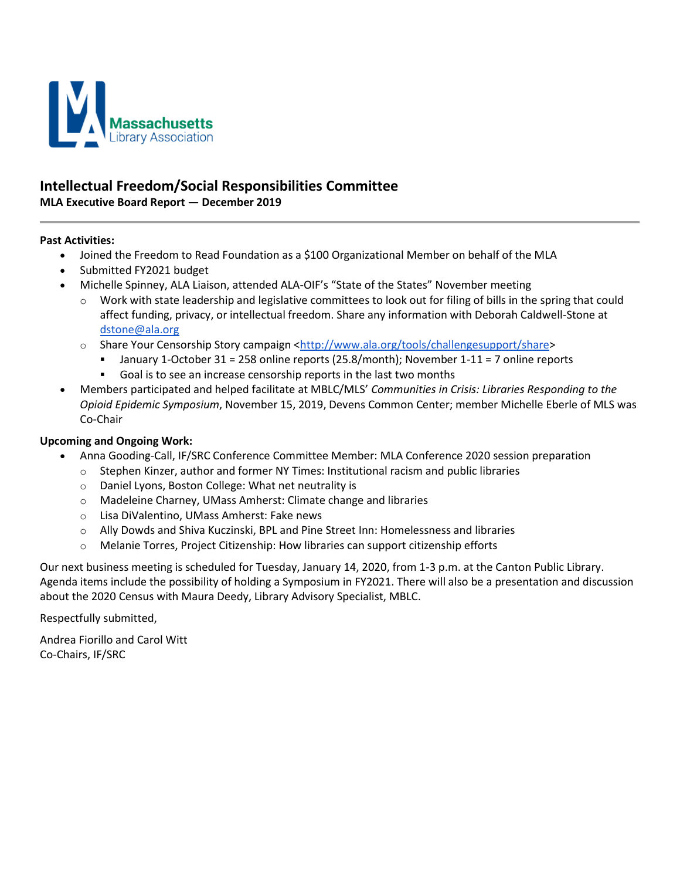

#### **Intellectual Freedom/Social Responsibilities Committee**

**MLA Executive Board Report — December 2019**

#### **Past Activities:**

- Joined the Freedom to Read Foundation as a \$100 Organizational Member on behalf of the MLA
- Submitted FY2021 budget
- Michelle Spinney, ALA Liaison, attended ALA-OIF's "State of the States" November meeting
	- $\circ$  Work with state leadership and legislative committees to look out for filing of bills in the spring that could affect funding, privacy, or intellectual freedom. Share any information with Deborah Caldwell-Stone at [dstone@ala.org](mailto:dstone@ala.org)
	- o Share Your Censorship Story campaign [<http://www.ala.org/tools/challengesupport/share>](http://www.ala.org/tools/challengesupport/share)
		- January 1-October 31 = 258 online reports (25.8/month); November 1-11 = 7 online reports
		- Goal is to see an increase censorship reports in the last two months
- Members participated and helped facilitate at MBLC/MLS' *Communities in Crisis: Libraries Responding to the Opioid Epidemic Symposium*, November 15, 2019, Devens Common Center; member Michelle Eberle of MLS was Co-Chair

#### **Upcoming and Ongoing Work:**

- Anna Gooding-Call, IF/SRC Conference Committee Member: MLA Conference 2020 session preparation
	- $\circ$  Stephen Kinzer, author and former NY Times: Institutional racism and public libraries
	- o Daniel Lyons, Boston College: What net neutrality is
	- o Madeleine Charney, UMass Amherst: Climate change and libraries
	- o Lisa DiValentino, UMass Amherst: Fake news
	- $\circ$  Ally Dowds and Shiva Kuczinski, BPL and Pine Street Inn: Homelessness and libraries
	- $\circ$  Melanie Torres, Project Citizenship: How libraries can support citizenship efforts

Our next business meeting is scheduled for Tuesday, January 14, 2020, from 1-3 p.m. at the Canton Public Library. Agenda items include the possibility of holding a Symposium in FY2021. There will also be a presentation and discussion about the 2020 Census with Maura Deedy, Library Advisory Specialist, MBLC.

Respectfully submitted,

Andrea Fiorillo and Carol Witt Co-Chairs, IF/SRC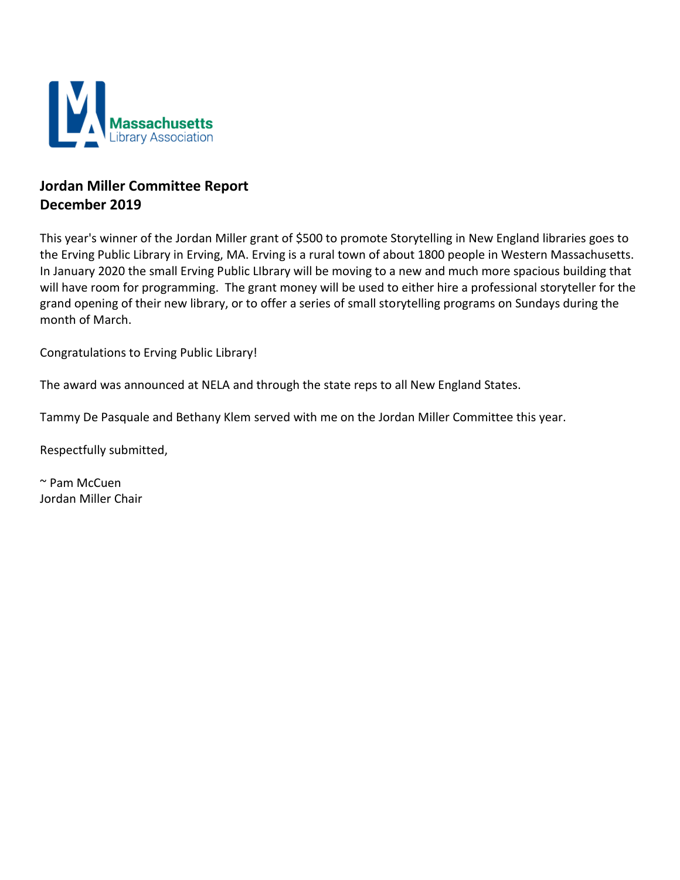

## **Jordan Miller Committee Report December 2019**

This year's winner of the Jordan Miller grant of \$500 to promote Storytelling in New England libraries goes to the Erving Public Library in Erving, MA. Erving is a rural town of about 1800 people in Western Massachusetts. In January 2020 the small Erving Public LIbrary will be moving to a new and much more spacious building that will have room for programming. The grant money will be used to either hire a professional storyteller for the grand opening of their new library, or to offer a series of small storytelling programs on Sundays during the month of March.

Congratulations to Erving Public Library!

The award was announced at NELA and through the state reps to all New England States.

Tammy De Pasquale and Bethany Klem served with me on the Jordan Miller Committee this year.

Respectfully submitted,

~ Pam McCuen Jordan Miller Chair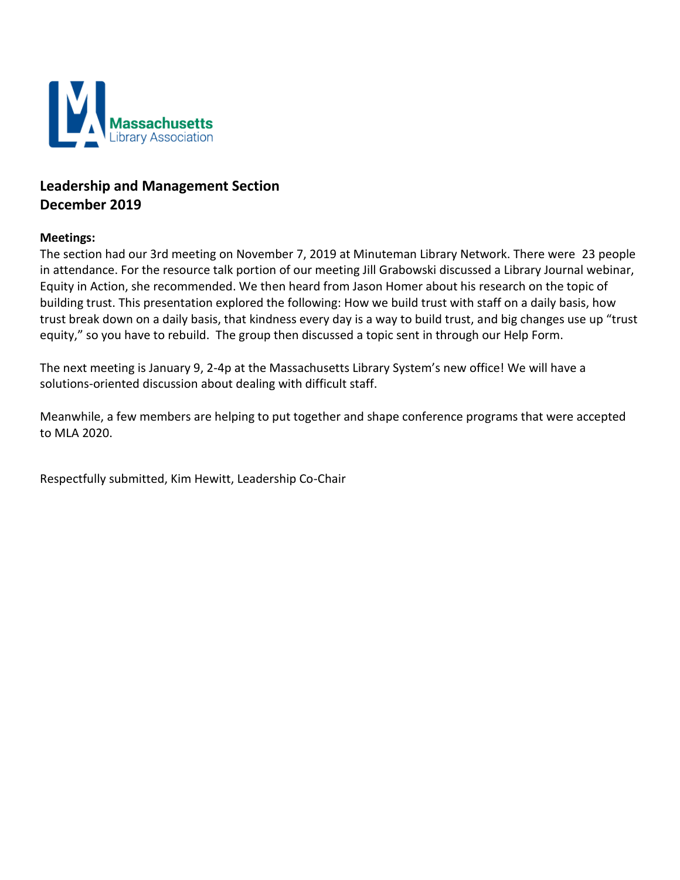

# **Leadership and Management Section December 2019**

#### **Meetings:**

The section had our 3rd meeting on November 7, 2019 at Minuteman Library Network. There were 23 people in attendance. For the resource talk portion of our meeting Jill Grabowski discussed a Library Journal webinar, Equity in Action, she recommended. We then heard from Jason Homer about his research on the topic of building trust. This presentation explored the following: How we build trust with staff on a daily basis, how trust break down on a daily basis, that kindness every day is a way to build trust, and big changes use up "trust equity," so you have to rebuild. The group then discussed a topic sent in through our Help Form.

The next meeting is January 9, 2-4p at the Massachusetts Library System's new office! We will have a solutions-oriented discussion about dealing with difficult staff.

Meanwhile, a few members are helping to put together and shape conference programs that were accepted to MLA 2020.

Respectfully submitted, Kim Hewitt, Leadership Co-Chair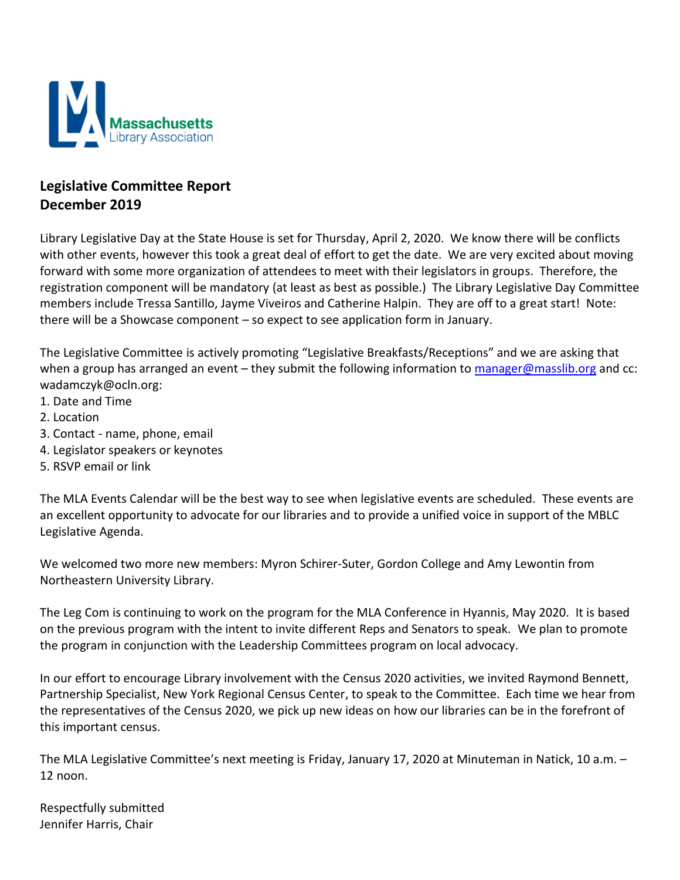

## **Legislative Committee Report December 2019**

Library Legislative Day at the State House is set for Thursday, April 2, 2020. We know there will be conflicts with other events, however this took a great deal of effort to get the date. We are very excited about moving forward with some more organization of attendees to meet with their legislators in groups. Therefore, the registration component will be mandatory (at least as best as possible.) The Library Legislative Day Committee members include Tressa Santillo, Jayme Viveiros and Catherine Halpin. They are off to a great start! Note: there will be a Showcase component – so expect to see application form in January.

The Legislative Committee is actively promoting "Legislative Breakfasts/Receptions" and we are asking that when a group has arranged an event - they submit the following information to [manager@masslib.org](mailto:manager@masslib.org) and cc: wadamczyk@ocln.org:

- 1. Date and Time
- 2. Location
- 3. Contact name, phone, email
- 4. Legislator speakers or keynotes
- 5. RSVP email or link

The MLA Events Calendar will be the best way to see when legislative events are scheduled. These events are an excellent opportunity to advocate for our libraries and to provide a unified voice in support of the MBLC Legislative Agenda.

We welcomed two more new members: Myron Schirer-Suter, Gordon College and Amy Lewontin from Northeastern University Library.

The Leg Com is continuing to work on the program for the MLA Conference in Hyannis, May 2020. It is based on the previous program with the intent to invite different Reps and Senators to speak. We plan to promote the program in conjunction with the Leadership Committees program on local advocacy.

In our effort to encourage Library involvement with the Census 2020 activities, we invited Raymond Bennett, Partnership Specialist, New York Regional Census Center, to speak to the Committee. Each time we hear from the representatives of the Census 2020, we pick up new ideas on how our libraries can be in the forefront of this important census.

The MLA Legislative Committee's next meeting is Friday, January 17, 2020 at Minuteman in Natick, 10 a.m. – 12 noon.

Respectfully submitted Jennifer Harris, Chair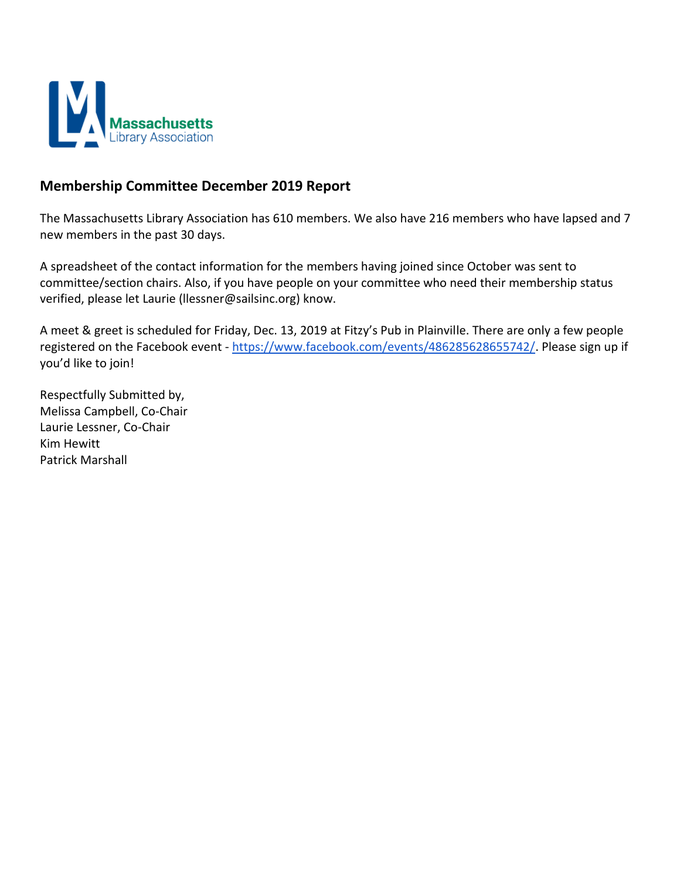

#### **Membership Committee December 2019 Report**

The Massachusetts Library Association has 610 members. We also have 216 members who have lapsed and 7 new members in the past 30 days.

A spreadsheet of the contact information for the members having joined since October was sent to committee/section chairs. Also, if you have people on your committee who need their membership status verified, please let Laurie (llessner@sailsinc.org) know.

A meet & greet is scheduled for Friday, Dec. 13, 2019 at Fitzy's Pub in Plainville. There are only a few people registered on the Facebook event - [https://www.facebook.com/events/486285628655742/.](https://www.facebook.com/events/486285628655742/) Please sign up if you'd like to join!

Respectfully Submitted by, Melissa Campbell, Co-Chair Laurie Lessner, Co-Chair Kim Hewitt Patrick Marshall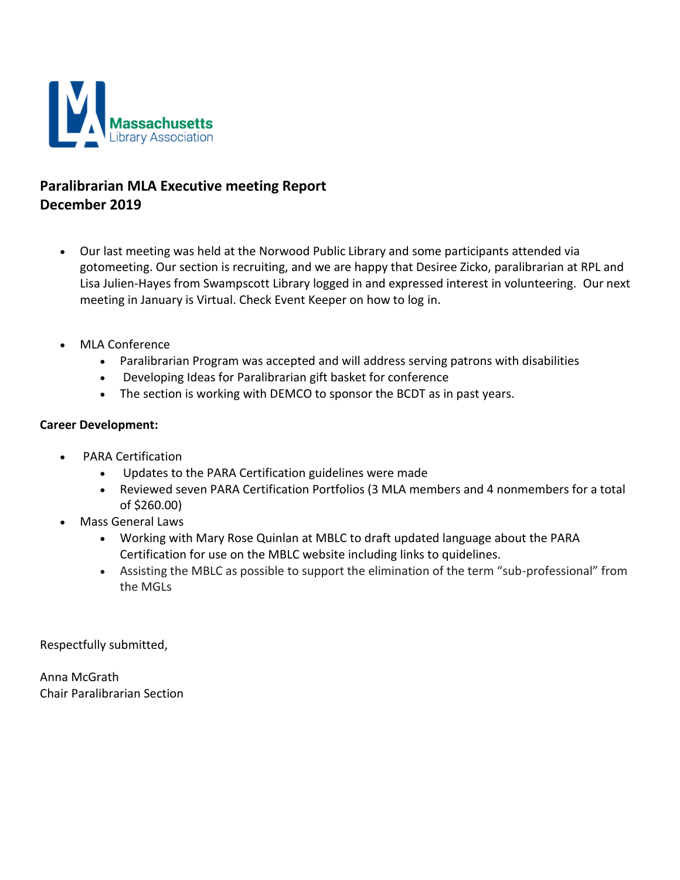

## **Paralibrarian MLA Executive meeting Report December 2019**

- Our last meeting was held at the Norwood Public Library and some participants attended via gotomeeting. Our section is recruiting, and we are happy that Desiree Zicko, paralibrarian at RPL and Lisa Julien-Hayes from Swampscott Library logged in and expressed interest in volunteering. Our next meeting in January is Virtual. Check Event Keeper on how to log in.
- MLA Conference
	- Paralibrarian Program was accepted and will address serving patrons with disabilities
	- Developing Ideas for Paralibrarian gift basket for conference
	- The section is working with DEMCO to sponsor the BCDT as in past years.

#### **Career Development:**

- PARA Certification
	- Updates to the PARA Certification guidelines were made
	- Reviewed seven PARA Certification Portfolios (3 MLA members and 4 nonmembers for a total of \$260.00)
- Mass General Laws
	- Working with Mary Rose Quinlan at MBLC to draft updated language about the PARA Certification for use on the MBLC website including links to quidelines.
	- Assisting the MBLC as possible to support the elimination of the term "sub-professional" from the MGLs

Respectfully submitted,

Anna McGrath Chair Paralibrarian Section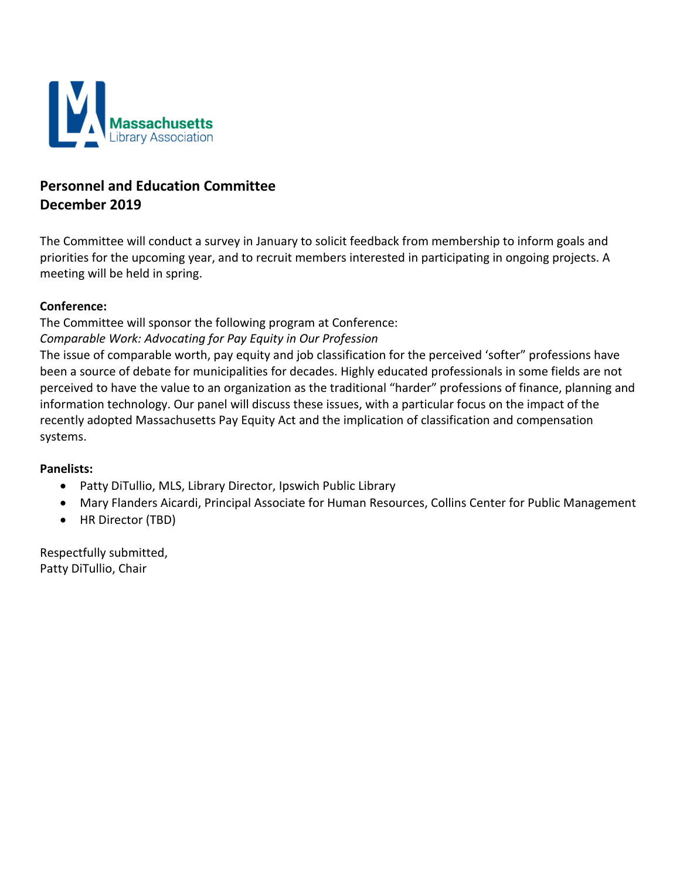

# **Personnel and Education Committee December 2019**

The Committee will conduct a survey in January to solicit feedback from membership to inform goals and priorities for the upcoming year, and to recruit members interested in participating in ongoing projects. A meeting will be held in spring.

#### **Conference:**

The Committee will sponsor the following program at Conference: *Comparable Work: Advocating for Pay Equity in Our Profession*

The issue of comparable worth, pay equity and job classification for the perceived 'softer" professions have been a source of debate for municipalities for decades. Highly educated professionals in some fields are not perceived to have the value to an organization as the traditional "harder" professions of finance, planning and information technology. Our panel will discuss these issues, with a particular focus on the impact of the recently adopted Massachusetts Pay Equity Act and the implication of classification and compensation systems.

#### **Panelists:**

- Patty DiTullio, MLS, Library Director, Ipswich Public Library
- Mary Flanders Aicardi, Principal Associate for Human Resources, Collins Center for Public Management
- HR Director (TBD)

Respectfully submitted, Patty DiTullio, Chair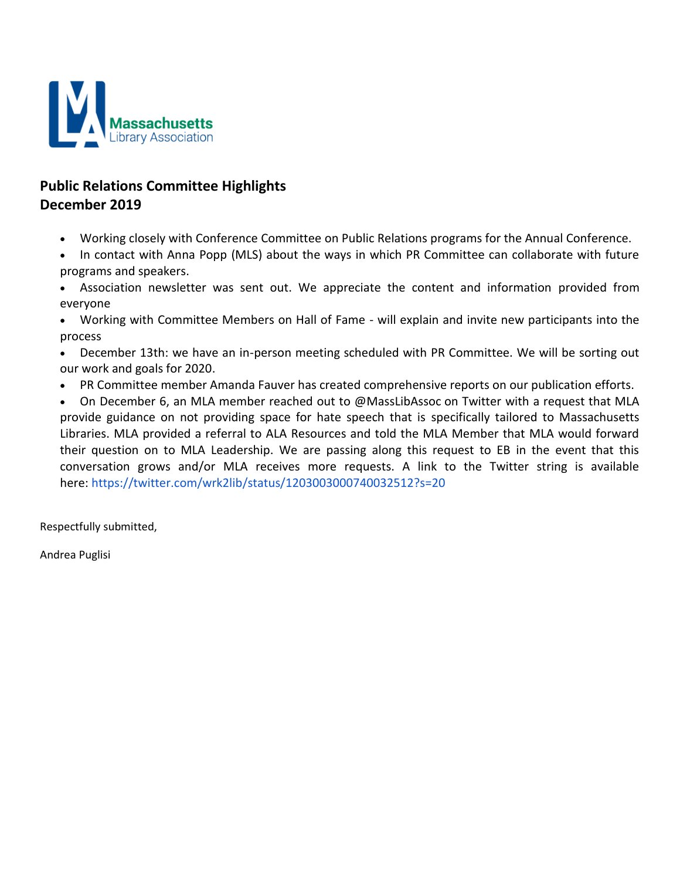

# **Public Relations Committee Highlights December 2019**

- Working closely with Conference Committee on Public Relations programs for the Annual Conference.
- In contact with Anna Popp (MLS) about the ways in which PR Committee can collaborate with future programs and speakers.
- Association newsletter was sent out. We appreciate the content and information provided from everyone
- Working with Committee Members on Hall of Fame will explain and invite new participants into the process
- December 13th: we have an in-person meeting scheduled with PR Committee. We will be sorting out our work and goals for 2020.
- PR Committee member Amanda Fauver has created comprehensive reports on our publication efforts.
- On December 6, an MLA member reached out to @MassLibAssoc on Twitter with a request that MLA provide guidance on not providing space for hate speech that is specifically tailored to Massachusetts Libraries. MLA provided a referral to ALA Resources and told the MLA Member that MLA would forward their question on to MLA Leadership. We are passing along this request to EB in the event that this conversation grows and/or MLA receives more requests. A link to the Twitter string is available here: <https://twitter.com/wrk2lib/status/1203003000740032512?s=20>

Respectfully submitted,

Andrea Puglisi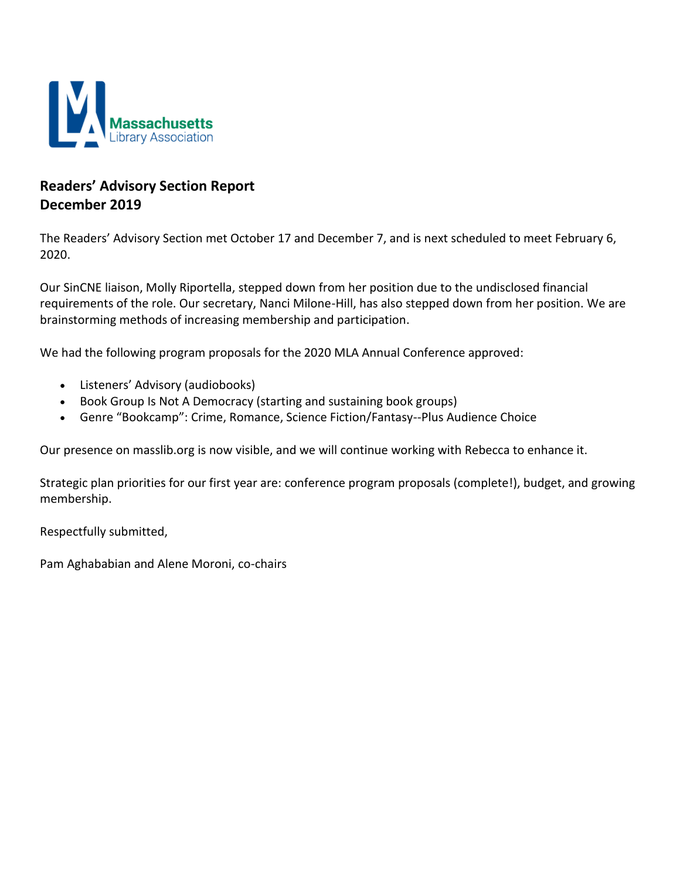

## **Readers' Advisory Section Report December 2019**

The Readers' Advisory Section met October 17 and December 7, and is next scheduled to meet February 6, 2020.

Our SinCNE liaison, Molly Riportella, stepped down from her position due to the undisclosed financial requirements of the role. Our secretary, Nanci Milone-Hill, has also stepped down from her position. We are brainstorming methods of increasing membership and participation.

We had the following program proposals for the 2020 MLA Annual Conference approved:

- Listeners' Advisory (audiobooks)
- Book Group Is Not A Democracy (starting and sustaining book groups)
- Genre "Bookcamp": Crime, Romance, Science Fiction/Fantasy--Plus Audience Choice

Our presence on masslib.org is now visible, and we will continue working with Rebecca to enhance it.

Strategic plan priorities for our first year are: conference program proposals (complete!), budget, and growing membership.

Respectfully submitted,

Pam Aghababian and Alene Moroni, co-chairs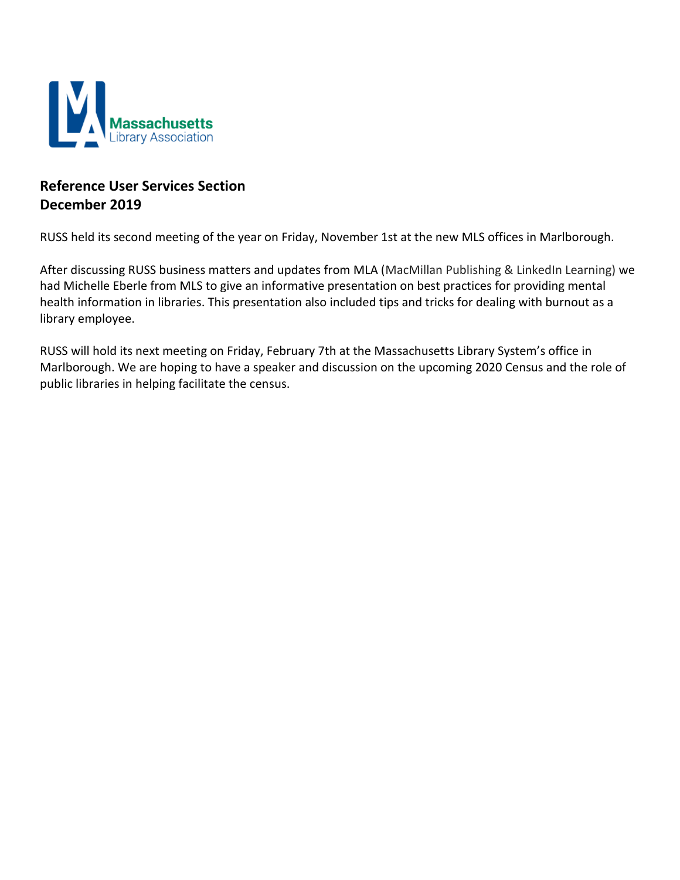

## **Reference User Services Section December 2019**

RUSS held its second meeting of the year on Friday, November 1st at the new MLS offices in Marlborough.

After discussing RUSS business matters and updates from MLA (MacMillan Publishing & LinkedIn Learning) we had Michelle Eberle from MLS to give an informative presentation on best practices for providing mental health information in libraries. This presentation also included tips and tricks for dealing with burnout as a library employee.

RUSS will hold its next meeting on Friday, February 7th at the Massachusetts Library System's office in Marlborough. We are hoping to have a speaker and discussion on the upcoming 2020 Census and the role of public libraries in helping facilitate the census.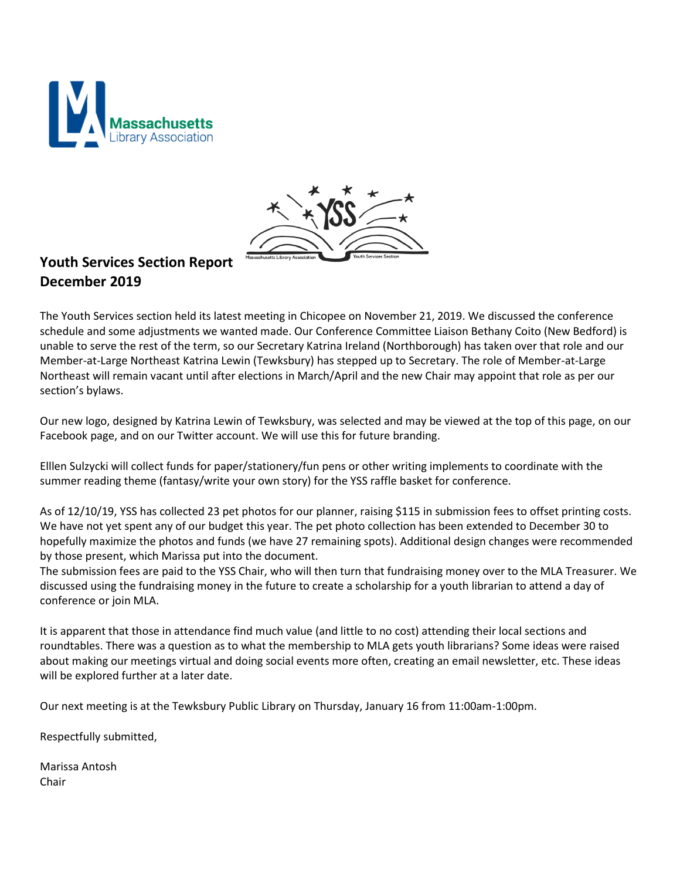



# **Youth Services Section Report December 2019**

The Youth Services section held its latest meeting in Chicopee on November 21, 2019. We discussed the conference schedule and some adjustments we wanted made. Our Conference Committee Liaison Bethany Coito (New Bedford) is unable to serve the rest of the term, so our Secretary Katrina Ireland (Northborough) has taken over that role and our Member-at-Large Northeast Katrina Lewin (Tewksbury) has stepped up to Secretary. The role of Member-at-Large Northeast will remain vacant until after elections in March/April and the new Chair may appoint that role as per our section's bylaws.

Our new logo, designed by Katrina Lewin of Tewksbury, was selected and may be viewed at the top of this page, on our Facebook page, and on our Twitter account. We will use this for future branding.

Elllen Sulzycki will collect funds for paper/stationery/fun pens or other writing implements to coordinate with the summer reading theme (fantasy/write your own story) for the YSS raffle basket for conference.

As of 12/10/19, YSS has collected 23 pet photos for our planner, raising \$115 in submission fees to offset printing costs. We have not yet spent any of our budget this year. The pet photo collection has been extended to December 30 to hopefully maximize the photos and funds (we have 27 remaining spots). Additional design changes were recommended by those present, which Marissa put into the document.

The submission fees are paid to the YSS Chair, who will then turn that fundraising money over to the MLA Treasurer. We discussed using the fundraising money in the future to create a scholarship for a youth librarian to attend a day of conference or join MLA.

It is apparent that those in attendance find much value (and little to no cost) attending their local sections and roundtables. There was a question as to what the membership to MLA gets youth librarians? Some ideas were raised about making our meetings virtual and doing social events more often, creating an email newsletter, etc. These ideas will be explored further at a later date.

Our next meeting is at the Tewksbury Public Library on Thursday, January 16 from 11:00am-1:00pm.

Respectfully submitted,

Marissa Antosh Chair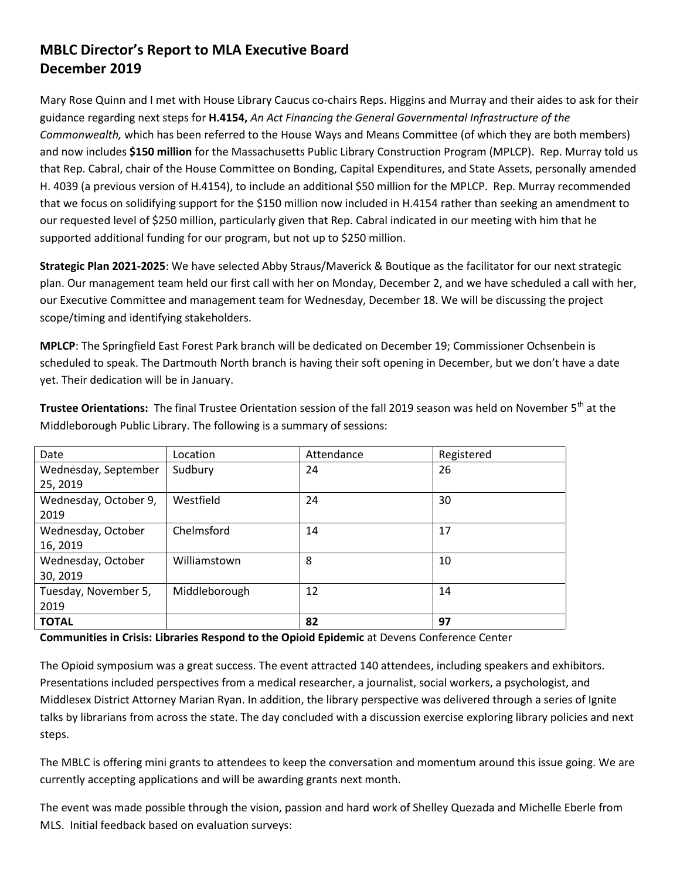## **MBLC Director's Report to MLA Executive Board December 2019**

Mary Rose Quinn and I met with House Library Caucus co-chairs Reps. Higgins and Murray and their aides to ask for their guidance regarding next steps for **H.4154,** *An Act Financing the General Governmental Infrastructure of the Commonwealth,* which has been referred to the House Ways and Means Committee (of which they are both members) and now includes **\$150 million** for the Massachusetts Public Library Construction Program (MPLCP). Rep. Murray told us that Rep. Cabral, chair of the House Committee on Bonding, Capital Expenditures, and State Assets, personally amended H. 4039 (a previous version of H.4154), to include an additional \$50 million for the MPLCP. Rep. Murray recommended that we focus on solidifying support for the \$150 million now included in H.4154 rather than seeking an amendment to our requested level of \$250 million, particularly given that Rep. Cabral indicated in our meeting with him that he supported additional funding for our program, but not up to \$250 million.

**Strategic Plan 2021-2025**: We have selected Abby Straus/Maverick & Boutique as the facilitator for our next strategic plan. Our management team held our first call with her on Monday, December 2, and we have scheduled a call with her, our Executive Committee and management team for Wednesday, December 18. We will be discussing the project scope/timing and identifying stakeholders.

**MPLCP**: The Springfield East Forest Park branch will be dedicated on December 19; Commissioner Ochsenbein is scheduled to speak. The Dartmouth North branch is having their soft opening in December, but we don't have a date yet. Their dedication will be in January.

| Date                  | Location      | Attendance | Registered |
|-----------------------|---------------|------------|------------|
| Wednesday, September  | Sudbury       | 24         | 26         |
| 25, 2019              |               |            |            |
| Wednesday, October 9, | Westfield     | 24         | 30         |
| 2019                  |               |            |            |
| Wednesday, October    | Chelmsford    | 14         | 17         |
| 16, 2019              |               |            |            |
| Wednesday, October    | Williamstown  | 8          | 10         |
| 30, 2019              |               |            |            |
| Tuesday, November 5,  | Middleborough | 12         | 14         |
| 2019                  |               |            |            |
| <b>TOTAL</b>          |               | 82         | 97         |

**Trustee Orientations:** The final Trustee Orientation session of the fall 2019 season was held on November 5<sup>th</sup> at the Middleborough Public Library. The following is a summary of sessions:

**Communities in Crisis: Libraries Respond to the Opioid Epidemic** at Devens Conference Center

The Opioid symposium was a great success. The event attracted 140 attendees, including speakers and exhibitors. Presentations included perspectives from a medical researcher, a journalist, social workers, a psychologist, and Middlesex District Attorney Marian Ryan. In addition, the library perspective was delivered through a series of Ignite talks by librarians from across the state. The day concluded with a discussion exercise exploring library policies and next steps.

The MBLC is offering mini grants to attendees to keep the conversation and momentum around this issue going. We are currently accepting applications and will be awarding grants next month.

The event was made possible through the vision, passion and hard work of Shelley Quezada and Michelle Eberle from MLS. Initial feedback based on evaluation surveys: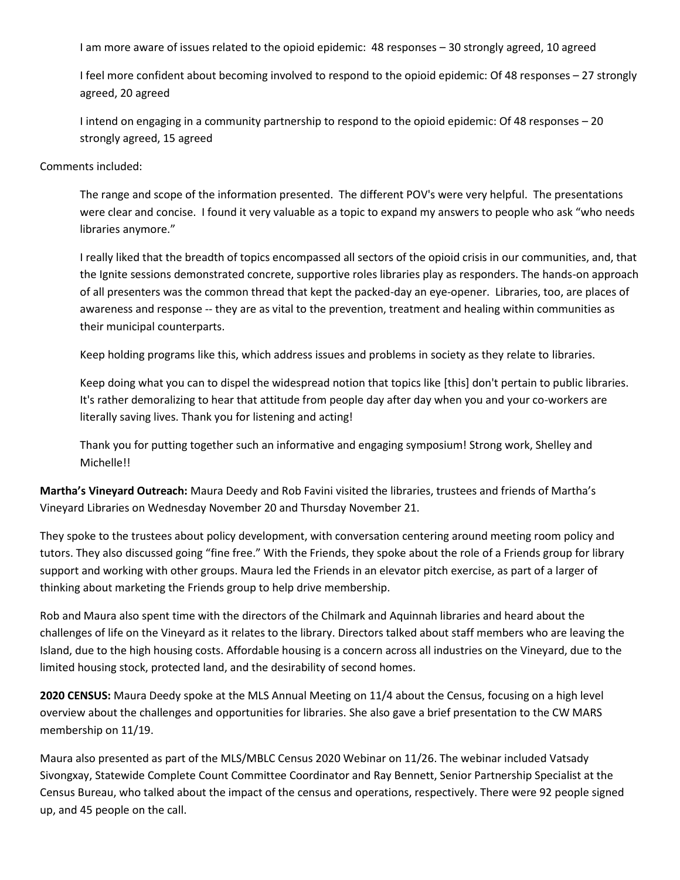I am more aware of issues related to the opioid epidemic: 48 responses – 30 strongly agreed, 10 agreed

I feel more confident about becoming involved to respond to the opioid epidemic: Of 48 responses – 27 strongly agreed, 20 agreed

I intend on engaging in a community partnership to respond to the opioid epidemic: Of 48 responses – 20 strongly agreed, 15 agreed

#### Comments included:

The range and scope of the information presented. The different POV's were very helpful. The presentations were clear and concise. I found it very valuable as a topic to expand my answers to people who ask "who needs libraries anymore."

I really liked that the breadth of topics encompassed all sectors of the opioid crisis in our communities, and, that the Ignite sessions demonstrated concrete, supportive roles libraries play as responders. The hands-on approach of all presenters was the common thread that kept the packed-day an eye-opener. Libraries, too, are places of awareness and response -- they are as vital to the prevention, treatment and healing within communities as their municipal counterparts.

Keep holding programs like this, which address issues and problems in society as they relate to libraries.

Keep doing what you can to dispel the widespread notion that topics like [this] don't pertain to public libraries. It's rather demoralizing to hear that attitude from people day after day when you and your co-workers are literally saving lives. Thank you for listening and acting!

Thank you for putting together such an informative and engaging symposium! Strong work, Shelley and Michelle!!

**Martha's Vineyard Outreach:** Maura Deedy and Rob Favini visited the libraries, trustees and friends of Martha's Vineyard Libraries on Wednesday November 20 and Thursday November 21.

They spoke to the trustees about policy development, with conversation centering around meeting room policy and tutors. They also discussed going "fine free." With the Friends, they spoke about the role of a Friends group for library support and working with other groups. Maura led the Friends in an elevator pitch exercise, as part of a larger of thinking about marketing the Friends group to help drive membership.

Rob and Maura also spent time with the directors of the Chilmark and Aquinnah libraries and heard about the challenges of life on the Vineyard as it relates to the library. Directors talked about staff members who are leaving the Island, due to the high housing costs. Affordable housing is a concern across all industries on the Vineyard, due to the limited housing stock, protected land, and the desirability of second homes.

**2020 CENSUS:** Maura Deedy spoke at the MLS Annual Meeting on 11/4 about the Census, focusing on a high level overview about the challenges and opportunities for libraries. She also gave a brief presentation to the CW MARS membership on 11/19.

Maura also presented as part of the MLS/MBLC Census 2020 Webinar on 11/26. The webinar included Vatsady Sivongxay, Statewide Complete Count Committee Coordinator and Ray Bennett, Senior Partnership Specialist at the Census Bureau, who talked about the impact of the census and operations, respectively. There were 92 people signed up, and 45 people on the call.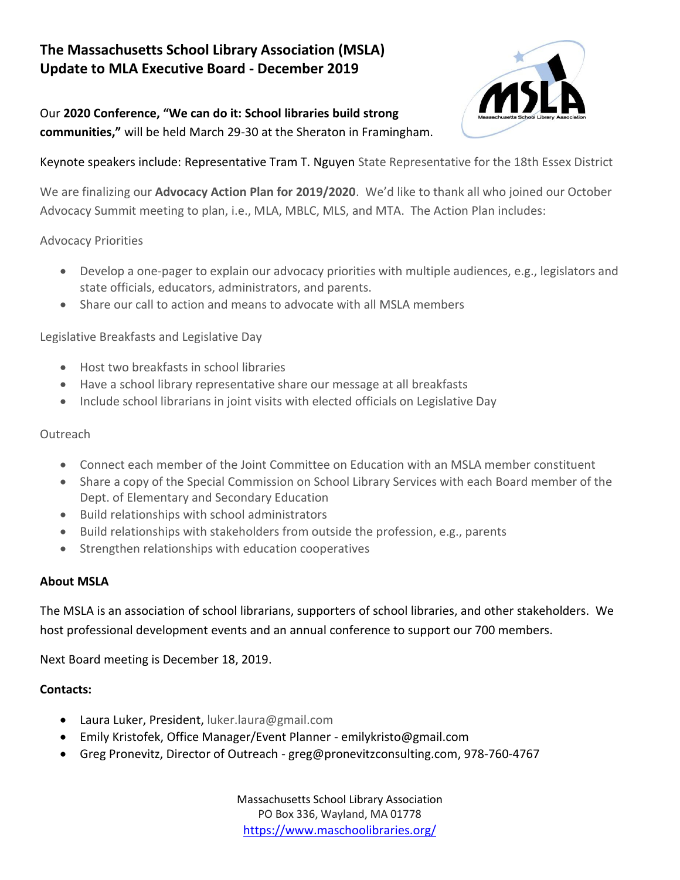## **The Massachusetts School Library Association (MSLA) Update to MLA Executive Board - December 2019**

## Our **2020 Conference, "We can do it: School libraries build strong communities,"** will be held March 29-30 at the Sheraton in Framingham.



Keynote speakers include: Representative Tram T. Nguyen State Representative for the 18th Essex District

We are finalizing our **Advocacy Action Plan for 2019/2020**. We'd like to thank all who joined our October Advocacy Summit meeting to plan, i.e., MLA, MBLC, MLS, and MTA. The Action Plan includes:

#### Advocacy Priorities

- Develop a one-pager to explain our advocacy priorities with multiple audiences, e.g., legislators and state officials, educators, administrators, and parents.
- Share our call to action and means to advocate with all MSLA members

#### Legislative Breakfasts and Legislative Day

- Host two breakfasts in school libraries
- Have a school library representative share our message at all breakfasts
- Include school librarians in joint visits with elected officials on Legislative Day

## **Outreach**

- Connect each member of the Joint Committee on Education with an MSLA member constituent
- Share a copy of the Special Commission on School Library Services with each Board member of the Dept. of Elementary and Secondary Education
- Build relationships with school administrators
- Build relationships with stakeholders from outside the profession, e.g., parents
- Strengthen relationships with education cooperatives

#### **About MSLA**

The MSLA is an association of school librarians, supporters of school libraries, and other stakeholders. We host professional development events and an annual conference to support our 700 members.

Next Board meeting is December 18, 2019.

#### **Contacts:**

- Laura Luker, President, luker.laura@gmail.com
- Emily Kristofek, Office Manager/Event Planner emilykristo@gmail.com
- Greg Pronevitz, Director of Outreach greg@pronevitzconsulting.com, 978-760-4767

Massachusetts School Library Association PO Box 336, Wayland, MA 01778 <https://www.maschoolibraries.org/>